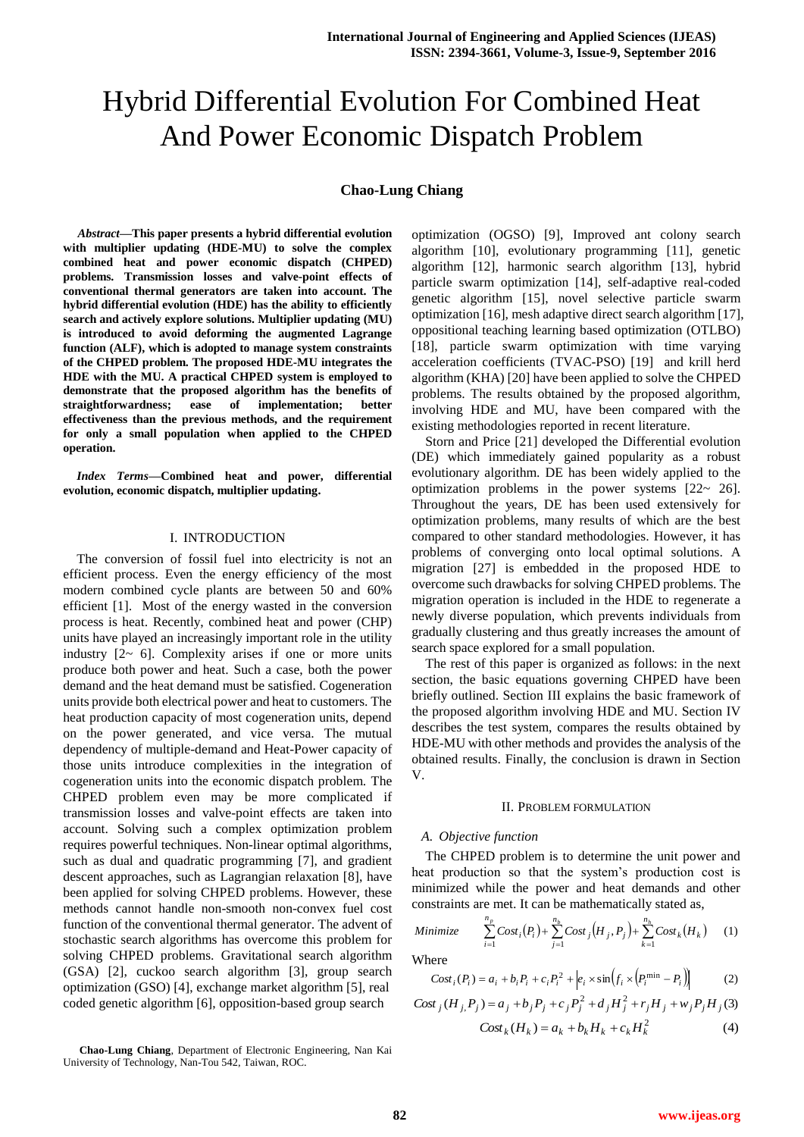# Hybrid Differential Evolution For Combined Heat And Power Economic Dispatch Problem

# **Chao-Lung Chiang**

*Abstract***—This paper presents a hybrid differential evolution with multiplier updating (HDE-MU) to solve the complex combined heat and power economic dispatch (CHPED) problems. Transmission losses and valve-point effects of conventional thermal generators are taken into account. The hybrid differential evolution (HDE) has the ability to efficiently search and actively explore solutions. Multiplier updating (MU) is introduced to avoid deforming the augmented Lagrange function (ALF), which is adopted to manage system constraints of the CHPED problem. The proposed HDE-MU integrates the HDE with the MU. A practical CHPED system is employed to demonstrate that the proposed algorithm has the benefits of straightforwardness; ease of implementation; better effectiveness than the previous methods, and the requirement for only a small population when applied to the CHPED operation.**

*Index Terms***—Combined heat and power, differential evolution, economic dispatch, multiplier updating.**

#### I. INTRODUCTION

The conversion of fossil fuel into electricity is not an efficient process. Even the energy efficiency of the most modern combined cycle plants are between 50 and 60% efficient [1]. Most of the energy wasted in the conversion process is heat. Recently, combined heat and power (CHP) units have played an increasingly important role in the utility industry  $[2 \sim 6]$ . Complexity arises if one or more units produce both power and heat. Such a case, both the power demand and the heat demand must be satisfied. Cogeneration units provide both electrical power and heat to customers. The heat production capacity of most cogeneration units, depend on the power generated, and vice versa. The mutual dependency of multiple-demand and Heat-Power capacity of those units introduce complexities in the integration of cogeneration units into the economic dispatch problem. The CHPED problem even may be more complicated if transmission losses and valve-point effects are taken into account. Solving such a complex optimization problem requires powerful techniques. Non-linear optimal algorithms, such as dual and quadratic programming [7], and gradient descent approaches, such as Lagrangian relaxation [8], have been applied for solving CHPED problems. However, these methods cannot handle non-smooth non-convex fuel cost function of the conventional thermal generator. The advent of stochastic search algorithms has overcome this problem for solving CHPED problems. Gravitational search algorithm (GSA) [2], cuckoo search algorithm [3], group search optimization (GSO) [4], exchange market algorithm [5], real coded genetic algorithm [6], opposition-based group search

optimization (OGSO) [9], Improved ant colony search algorithm [10], evolutionary programming [11], genetic algorithm [12], harmonic search algorithm [13], hybrid particle swarm optimization [14], self-adaptive real-coded genetic algorithm [15], novel selective particle swarm optimization [16], mesh adaptive direct search algorithm [17], oppositional teaching learning based optimization (OTLBO) [18], particle swarm optimization with time varying acceleration coefficients (TVAC-PSO) [19] and krill herd algorithm (KHA) [20] have been applied to solve the CHPED problems. The results obtained by the proposed algorithm, involving HDE and MU, have been compared with the existing methodologies reported in recent literature.

Storn and Price [21] developed the Differential evolution (DE) which immediately gained popularity as a robust evolutionary algorithm. DE has been widely applied to the optimization problems in the power systems [22~ 26]. Throughout the years, DE has been used extensively for optimization problems, many results of which are the best compared to other standard methodologies. However, it has problems of converging onto local optimal solutions. A migration [27] is embedded in the proposed HDE to overcome such drawbacks for solving CHPED problems. The migration operation is included in the HDE to regenerate a newly diverse population, which prevents individuals from gradually clustering and thus greatly increases the amount of search space explored for a small population.

The rest of this paper is organized as follows: in the next section, the basic equations governing CHPED have been briefly outlined. Section III explains the basic framework of the proposed algorithm involving HDE and MU. Section IV describes the test system, compares the results obtained by HDE-MU with other methods and provides the analysis of the obtained results. Finally, the conclusion is drawn in Section V.

## II. PROBLEM FORMULATION

#### *A. Objective function*

The CHPED problem is to determine the unit power and heat production so that the system's production cost is minimized while the power and heat demands and other constraints are met. It can be mathematically stated as,

Minimize 
$$
\sum_{i=1}^{n_p} Cost_i(P_i) + \sum_{j=1}^{n_b} Cost_j(H_j, P_j) + \sum_{k=1}^{n_b} Cost_k(H_k)
$$
 (1)

Where

$$
Cost_i(P_i) = a_i + b_i P_i + c_i P_i^2 + \left| e_i \times \sin\left(f_i \times \left(P_i^{\min} - P_i\right)\right) \right| \tag{2}
$$

$$
Cost_j(H_j, P_j) = a_j + b_j P_j + c_j P_j^2 + d_j H_j^2 + r_j H_j + w_j P_j H_j
$$
\n
$$
Cost_k(H_k) = a_k + b_k H_k + c_k H_k^2
$$
\n(4)

**Chao-Lung Chiang**, Department of Electronic Engineering, Nan Kai University of Technology, Nan-Tou 542, Taiwan, ROC.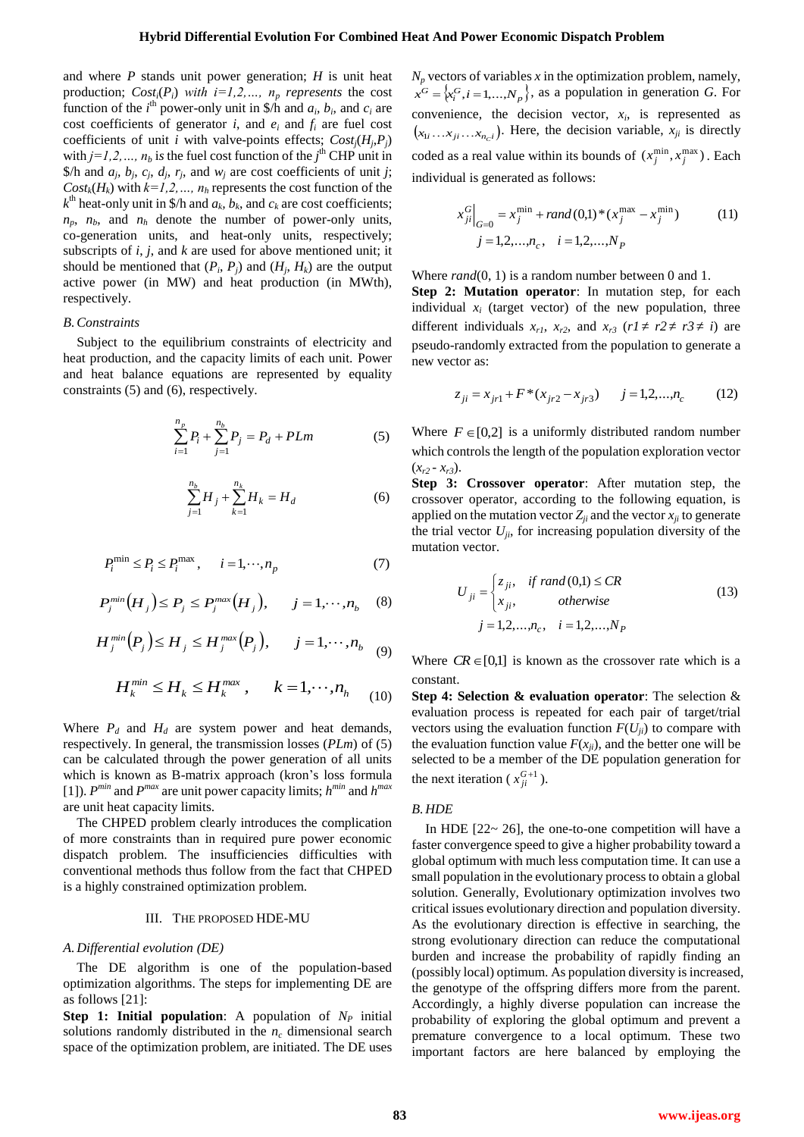and where *P* stands unit power generation; *H* is unit heat production;  $Cost_i(P_i)$  *with*  $i=1,2,..., n_p$  *represents* the cost function of the *i*<sup>th</sup> power-only unit in \$/h and  $a_i$ ,  $b_i$ , and  $c_i$  are cost coefficients of generator *i*, and  $e_i$  and  $f_i$  are fuel cost coefficients of unit *i* with valve-points effects;  $Cost_j(H_j, P_j)$ with  $j=1,2,..., n_b$  is the fuel cost function of the  $j<sup>th</sup>$  CHP unit in \$/h and  $a_j$ ,  $b_j$ ,  $c_j$ ,  $d_j$ ,  $r_j$ , and  $w_j$  are cost coefficients of unit *j*;  $Cost_k(H_k)$  with  $k=1,2,..., n_h$  represents the cost function of the  $k^{\text{th}}$  heat-only unit in \$/h and  $a_k$ ,  $b_k$ , and  $c_k$  are cost coefficients;  $n_p$ ,  $n_b$ , and  $n_h$  denote the number of power-only units, co-generation units, and heat-only units, respectively; subscripts of *i*, *j*, and *k* are used for above mentioned unit; it should be mentioned that  $(P_i, P_j)$  and  $(H_j, H_k)$  are the output active power (in MW) and heat production (in MWth), respectively.

#### *B.Constraints*

Subject to the equilibrium constraints of electricity and heat production, and the capacity limits of each unit. Power and heat balance equations are represented by equality constraints (5) and (6), respectively.

$$
\sum_{i=1}^{n_p} P_i + \sum_{j=1}^{n_b} P_j = P_d + PLm \tag{5}
$$

$$
\sum_{j=1}^{n_b} H_j + \sum_{k=1}^{n_k} H_k = H_d \tag{6}
$$

$$
P_i^{\min} \le P_i \le P_i^{\max}, \qquad i = 1, \cdots, n_p \tag{7}
$$

$$
P_j^{\min}(H_j) \le P_j \le P_j^{\max}(H_j), \qquad j = 1, \cdots, n_b \quad (8)
$$

$$
H_j^{\min}(P_j) \le H_j \le H_j^{\max}(P_j), \qquad j = 1, \cdots, n_{b} \quad (9)
$$

$$
H_k^{min} \le H_k \le H_k^{max}, \qquad k = 1, \cdots, n_h \tag{10}
$$

Where  $P_d$  and  $H_d$  are system power and heat demands, respectively. In general, the transmission losses (*PLm*) of (5) can be calculated through the power generation of all units which is known as B-matrix approach (kron's loss formula [1]).  $P^{min}$  and  $P^{max}$  are unit power capacity limits;  $h^{min}$  and  $h^{max}$ are unit heat capacity limits.

The CHPED problem clearly introduces the complication of more constraints than in required pure power economic dispatch problem. The insufficiencies difficulties with conventional methods thus follow from the fact that CHPED is a highly constrained optimization problem.

#### III. THE PROPOSED HDE-MU

#### *A. Differential evolution (DE)*

The DE algorithm is one of the population-based optimization algorithms. The steps for implementing DE are as follows [21]:

**Step 1: Initial population:** A population of  $N_p$  initial solutions randomly distributed in the  $n_c$  dimensional search space of the optimization problem, are initiated. The DE uses  $N_p$  vectors of variables  $x$  in the optimization problem, namely,  $x^G = \{x_i^G, i = 1,...,N_p\}$ , as a population in generation *G*. For convenience, the decision vector,  $x_i$ , is represented as  $(x_{1i} \dots x_{ji} \dots x_{n_c i})$ . Here, the decision variable,  $x_{ji}$  is directly coded as a real value within its bounds of  $(x_j^{\min}, x_j^{\max})$ . Each individual is generated as follows:

$$
x_{ji}^{G}|_{G=0} = x_j^{\min} + rand(0,1) * (x_j^{\max} - x_j^{\min})
$$
 (11)  

$$
j = 1,2,...,n_c, \quad i = 1,2,...,N_p
$$

Where *rand*(0, 1) is a random number between 0 and 1.

**Step 2: Mutation operator**: In mutation step, for each individual  $x_i$  (target vector) of the new population, three different individuals  $x_{r1}$ ,  $x_{r2}$ , and  $x_{r3}$  ( $r1 \neq r2 \neq r3 \neq i$ ) are pseudo-randomly extracted from the population to generate a new vector as:

$$
z_{ji} = x_{jr1} + F^*(x_{jr2} - x_{jr3}) \qquad j = 1, 2, ..., n_c \tag{12}
$$

Where  $F \in [0,2]$  is a uniformly distributed random number which controls the length of the population exploration vector  $(x_{r2} - x_{r3})$ .

**Step 3: Crossover operator**: After mutation step, the crossover operator, according to the following equation, is applied on the mutation vector  $Z_{ji}$  and the vector  $x_{ji}$  to generate the trial vector  $U_{ji}$ , for increasing population diversity of the mutation vector.

$$
U_{ji} = \begin{cases} z_{ji}, & \text{if } rand(0,1) \le CR \\ x_{ji}, & \text{otherwise} \end{cases}
$$
  

$$
j = 1, 2, ..., n_c, \quad i = 1, 2, ..., N_p
$$
 (13)

Where  $CR \in [0,1]$  is known as the crossover rate which is a constant.

**Step 4: Selection & evaluation operator**: The selection & evaluation process is repeated for each pair of target/trial vectors using the evaluation function  $F(U_{ji})$  to compare with the evaluation function value  $F(x_{ji})$ , and the better one will be selected to be a member of the DE population generation for the next iteration ( $x_{ji}^{G+1}$ ).

#### *B. HDE*

In HDE  $[22 \sim 26]$ , the one-to-one competition will have a faster convergence speed to give a higher probability toward a global optimum with much less computation time. It can use a small population in the evolutionary process to obtain a global solution. Generally, Evolutionary optimization involves two critical issues evolutionary direction and population diversity. As the evolutionary direction is effective in searching, the strong evolutionary direction can reduce the computational burden and increase the probability of rapidly finding an (possibly local) optimum. As population diversity is increased, the genotype of the offspring differs more from the parent. Accordingly, a highly diverse population can increase the probability of exploring the global optimum and prevent a premature convergence to a local optimum. These two important factors are here balanced by employing the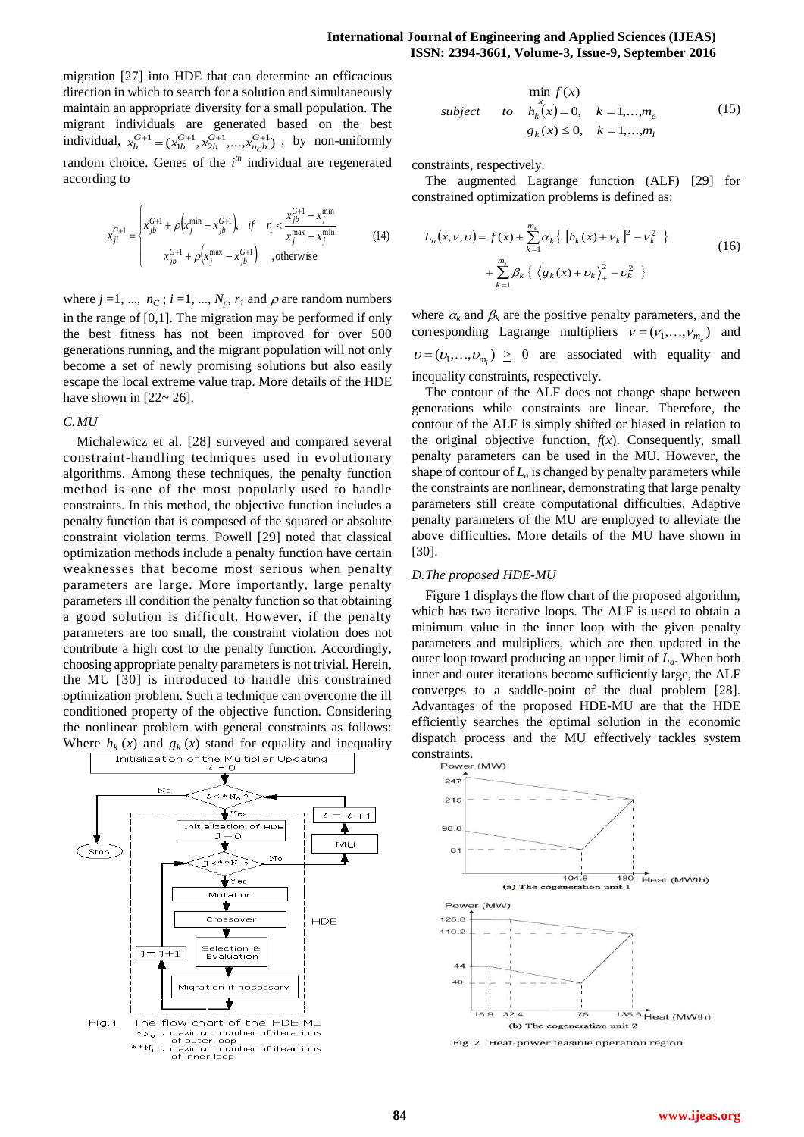migration [27] into HDE that can determine an efficacious direction in which to search for a solution and simultaneously maintain an appropriate diversity for a small population. The migrant individuals are generated based on the best individual,  $x_b^{G+1} = (x_{1b}^{G+1}, x_{2b}^{G+1}, \dots, x_{n_c b}^{G+1})$ , by non-uniformly random choice. Genes of the *i*<sup>th</sup> individual are regenerated according to

$$
x_{ji}^{G+1} = \begin{cases} x_{jb}^{G+1} + \rho \left( x_j^{\min} - x_{jb}^{G+1} \right), & \text{if } r_1 < \frac{x_{jb}^{G+1} - x_j^{\min}}{x_j^{\max} - x_j^{\min}} \\ x_{jb}^{G+1} + \rho \left( x_j^{\max} - x_{jb}^{G+1} \right) & \text{,otherwise} \end{cases}
$$
(14)

where  $j = 1, ..., n_C$ ;  $i = 1, ..., N_p, r_l$  and  $\rho$  are random numbers in the range of [0,1]. The migration may be performed if only the best fitness has not been improved for over 500 generations running, and the migrant population will not only become a set of newly promising solutions but also easily escape the local extreme value trap. More details of the HDE have shown in  $[22 \sim 26]$ .

## *C.MU*

Michalewicz et al. [28] surveyed and compared several constraint-handling techniques used in evolutionary algorithms. Among these techniques, the penalty function method is one of the most popularly used to handle constraints. In this method, the objective function includes a penalty function that is composed of the squared or absolute constraint violation terms. Powell [29] noted that classical optimization methods include a penalty function have certain weaknesses that become most serious when penalty parameters are large. More importantly, large penalty parameters ill condition the penalty function so that obtaining a good solution is difficult. However, if the penalty parameters are too small, the constraint violation does not contribute a high cost to the penalty function. Accordingly, choosing appropriate penalty parameters is not trivial. Herein, the MU [30] is introduced to handle this constrained optimization problem. Such a technique can overcome the ill conditioned property of the objective function. Considering the nonlinear problem with general constraints as follows: Where  $h_k(x)$  and  $g_k(x)$  stand for equality and inequality  $\boxed{\phantom{\big|}}$  Initialization of the Multiplier Updating



$$
\min_{x} f(x)
$$
\n
$$
subject \quad to \quad h_k^{\{x\}}(x) = 0, \quad k = 1, \dots, m_e
$$
\n
$$
g_k(x) \le 0, \quad k = 1, \dots, m_i
$$
\n
$$
(15)
$$

constraints, respectively.

The augmented Lagrange function (ALF) [29] for constrained optimization problems is defined as:

$$
L_a(x, v, v) = f(x) + \sum_{k=1}^{m_e} \alpha_k \{ [h_k(x) + v_k]^2 - v_k^2 \}
$$
  
+ 
$$
\sum_{k=1}^{m_e} \beta_k \{ \langle g_k(x) + v_k \rangle_+^2 - v_k^2 \}
$$
 (16)

where  $\alpha_k$  and  $\beta_k$  are the positive penalty parameters, and the corresponding Lagrange multipliers  $v = (v_1, \dots, v_{m_e})$  and  $v = (v_1, ..., v_{m_i}) \ge 0$  are associated with equality and inequality constraints, respectively.

The contour of the ALF does not change shape between generations while constraints are linear. Therefore, the contour of the ALF is simply shifted or biased in relation to the original objective function,  $f(x)$ . Consequently, small penalty parameters can be used in the MU. However, the shape of contour of  $L_a$  is changed by penalty parameters while the constraints are nonlinear, demonstrating that large penalty parameters still create computational difficulties. Adaptive penalty parameters of the MU are employed to alleviate the above difficulties. More details of the MU have shown in [30].

## *D.The proposed HDE-MU*

Figure 1 displays the flow chart of the proposed algorithm, which has two iterative loops. The ALF is used to obtain a minimum value in the inner loop with the given penalty parameters and multipliers, which are then updated in the outer loop toward producing an upper limit of *La*. When both inner and outer iterations become sufficiently large, the ALF converges to a saddle-point of the dual problem [28]. Advantages of the proposed HDE-MU are that the HDE efficiently searches the optimal solution in the economic dispatch process and the MU effectively tackles system constraints.



Fig. 2 Heat-power feasible operation region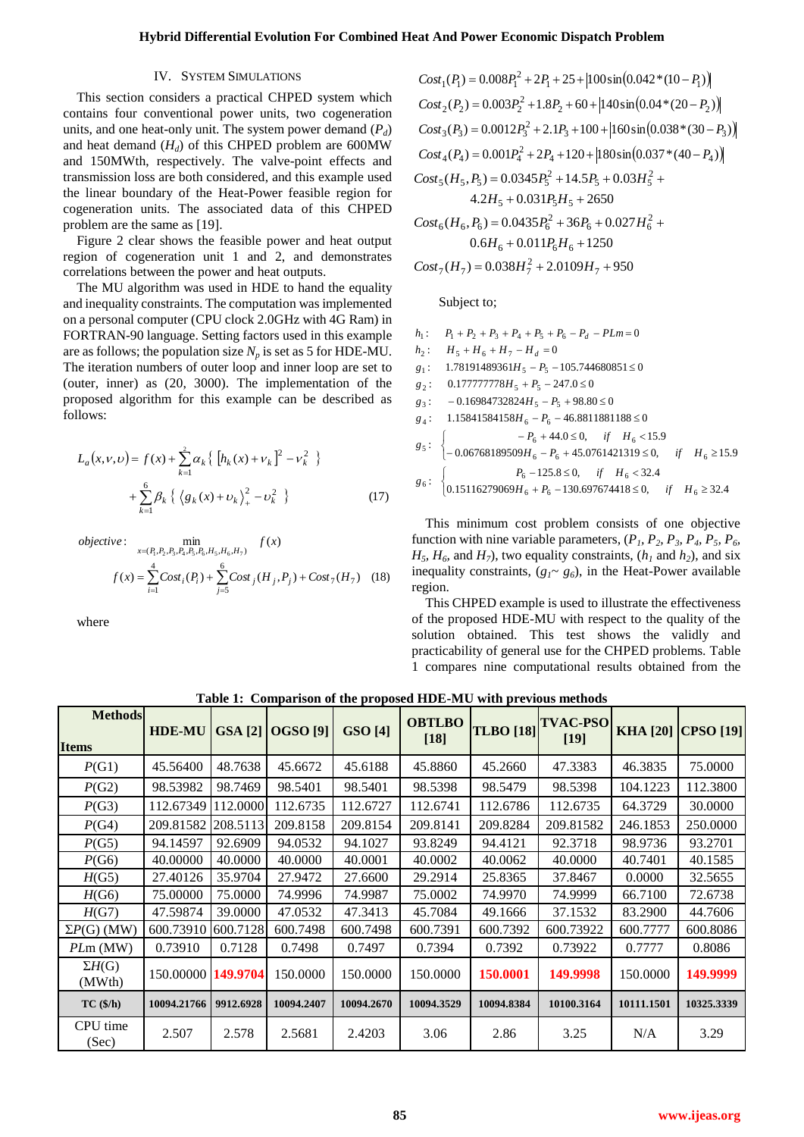## IV. SYSTEM SIMULATIONS

This section considers a practical CHPED system which contains four conventional power units, two cogeneration units, and one heat-only unit. The system power demand  $(P_d)$ and heat demand  $(H_d)$  of this CHPED problem are 600MW and 150MWth, respectively. The valve-point effects and transmission loss are both considered, and this example used the linear boundary of the Heat-Power feasible region for cogeneration units. The associated data of this CHPED problem are the same as [19].

Figure 2 clear shows the feasible power and heat output region of cogeneration unit 1 and 2, and demonstrates correlations between the power and heat outputs.

The MU algorithm was used in HDE to hand the equality and inequality constraints. The computation was implemented on a personal computer (CPU clock 2.0GHz with 4G Ram) in FORTRAN-90 language. Setting factors used in this example are as follows; the population size  $N_p$  is set as 5 for HDE-MU. The iteration numbers of outer loop and inner loop are set to (outer, inner) as (20, 3000). The implementation of the proposed algorithm for this example can be described as follows:

$$
L_a(x, v, v) = f(x) + \sum_{k=1}^{2} \alpha_k \{ [h_k(x) + v_k]^2 - v_k^2 \}
$$
  
+ 
$$
\sum_{k=1}^{6} \beta_k \{ \langle g_k(x) + v_k \rangle_+^2 - v_k^2 \}
$$
 (17)

*objective*: 
$$
\min_{x=(P_1, P_2, P_3, P_4, P_5, P_6, H_5, H_6, H_7)} f(x)
$$

$$
f(x) = \sum_{i=1}^{4} Cost_i(P_i) + \sum_{j=5}^{6} Cost_j(H_j, P_j) + Cost_7(H_7)
$$
(18)

where

$$
Cost_1(P_1) = 0.008P_1^2 + 2P_1 + 25 + |100\sin(0.042*(10 - P_1))|
$$
  
\n
$$
Cost_2(P_2) = 0.003P_2^2 + 1.8P_2 + 60 + |140\sin(0.04*(20 - P_2))|
$$
  
\n
$$
Cost_3(P_3) = 0.0012P_3^2 + 2.1P_3 + 100 + |160\sin(0.038*(30 - P_3))|
$$
  
\n
$$
Cost_4(P_4) = 0.001P_4^2 + 2P_4 + 120 + |180\sin(0.037*(40 - P_4))|
$$
  
\n
$$
Cost_5(H_5, P_5) = 0.0345P_5^2 + 14.5P_5 + 0.03H_5^2 + 4.2H_5 + 0.031P_5H_5 + 2650
$$
  
\n
$$
Cost_6(H_6, P_6) = 0.0435P_6^2 + 36P_6 + 0.027H_6^2 + 0.6H_6 + 0.011P_6H_6 + 1250
$$
  
\n
$$
Cost_7(H_7) = 0.038H_7^2 + 2.0109H_7 + 950
$$

Subject to;

$$
h_1: P_1 + P_2 + P_3 + P_4 + P_5 + P_6 - P_d - PLm = 0
$$
  
\n
$$
h_2: H_5 + H_6 + H_7 - H_d = 0
$$
  
\n
$$
g_1: 1.78191489361H_5 - P_5 - 105.744680851 \le 0
$$
  
\n
$$
g_2: 0.177777778H_5 + P_5 - 247.0 \le 0
$$
  
\n
$$
g_3: -0.16984732824H_5 - P_5 + 98.80 \le 0
$$
  
\n
$$
g_4: 1.15841584158H_6 - P_6 - 46.8811881188 \le 0
$$
  
\n
$$
g_5: \begin{cases} -P_6 + 44.0 \le 0, & \text{if } H_6 < 15.9 \\ -0.06768189509H_6 - P_6 + 45.0761421319 \le 0, & \text{if } H_6 \ge 15.9 \\ -0.06768189509H_6 - P_6 + 45.0761421319 \le 0, & \text{if } H_6 \ge 15.9 \\ 0.15116279069H_6 + P_6 - 130.697674418 \le 0, & \text{if } H_6 \ge 32.4 \end{cases}
$$

This minimum cost problem consists of one objective function with nine variable parameters,  $(P_1, P_2, P_3, P_4, P_5, P_6, P_7)$  $H_5$ ,  $H_6$ , and  $H_7$ ), two equality constraints,  $(h_1 \text{ and } h_2)$ , and six inequality constraints,  $(g_1 \sim g_6)$ , in the Heat-Power available region.

This CHPED example is used to illustrate the effectiveness of the proposed HDE-MU with respect to the quality of the solution obtained. This test shows the validly and practicability of general use for the CHPED problems. Table 1 compares nine computational results obtained from the

| <b>Methods</b>          | <b>HDE-MU</b> | <b>GSA</b> [2] | <b>OGSO</b> [9] | <b>GSO</b> [4] | <b>OBTLBO</b> | <b>TLBO</b> [18] | <b>TVAC-PSO</b> |            | KHA [20] CPSO [19] |
|-------------------------|---------------|----------------|-----------------|----------------|---------------|------------------|-----------------|------------|--------------------|
| <b>Items</b>            |               |                |                 |                | $[18]$        |                  | $[19]$          |            |                    |
| P(G1)                   | 45.56400      | 48.7638        | 45.6672         | 45.6188        | 45.8860       | 45.2660          | 47.3383         | 46.3835    | 75.0000            |
| P(G2)                   | 98.53982      | 98.7469        | 98.5401         | 98.5401        | 98.5398       | 98.5479          | 98.5398         | 104.1223   | 112.3800           |
| P(G3)                   | 112.67349     | 112.0000       | 112.6735        | 112.6727       | 112.6741      | 112.6786         | 112.6735        | 64.3729    | 30.0000            |
| P(G4)                   | 209.81582     | 208.5113       | 209.8158        | 209.8154       | 209.8141      | 209.8284         | 209.81582       | 246.1853   | 250,0000           |
| P(G5)                   | 94.14597      | 92.6909        | 94.0532         | 94.1027        | 93.8249       | 94.4121          | 92.3718         | 98.9736    | 93.2701            |
| P(G6)                   | 40.00000      | 40.0000        | 40.0000         | 40.0001        | 40.0002       | 40.0062          | 40.0000         | 40.7401    | 40.1585            |
| H(G5)                   | 27.40126      | 35.9704        | 27.9472         | 27.6600        | 29.2914       | 25.8365          | 37.8467         | 0.0000     | 32.5655            |
| H(G6)                   | 75.00000      | 75.0000        | 74.9996         | 74.9987        | 75.0002       | 74.9970          | 74.9999         | 66.7100    | 72.6738            |
| H(G7)                   | 47.59874      | 39.0000        | 47.0532         | 47.3413        | 45.7084       | 49.1666          | 37.1532         | 83.2900    | 44.7606            |
| $\Sigma P(G)$ (MW)      | 600.73910     | 600.7128       | 600.7498        | 600.7498       | 600.7391      | 600.7392         | 600.73922       | 600.7777   | 600.8086           |
| PLm(MW)                 | 0.73910       | 0.7128         | 0.7498          | 0.7497         | 0.7394        | 0.7392           | 0.73922         | 0.7777     | 0.8086             |
| $\Sigma H(G)$<br>(MWth) | 150.00000     | 149.9704       | 150,0000        | 150,0000       | 150.0000      | 150.0001         | 149.9998        | 150.0000   | 149,9999           |
| TC(1/h)                 | 10094.21766   | 9912.6928      | 10094.2407      | 10094.2670     | 10094.3529    | 10094.8384       | 10100.3164      | 10111.1501 | 10325.3339         |
| CPU time<br>(Sec)       | 2.507         | 2.578          | 2.5681          | 2.4203         | 3.06          | 2.86             | 3.25            | N/A        | 3.29               |

**Table 1: Comparison of the proposed HDE-MU with previous methods**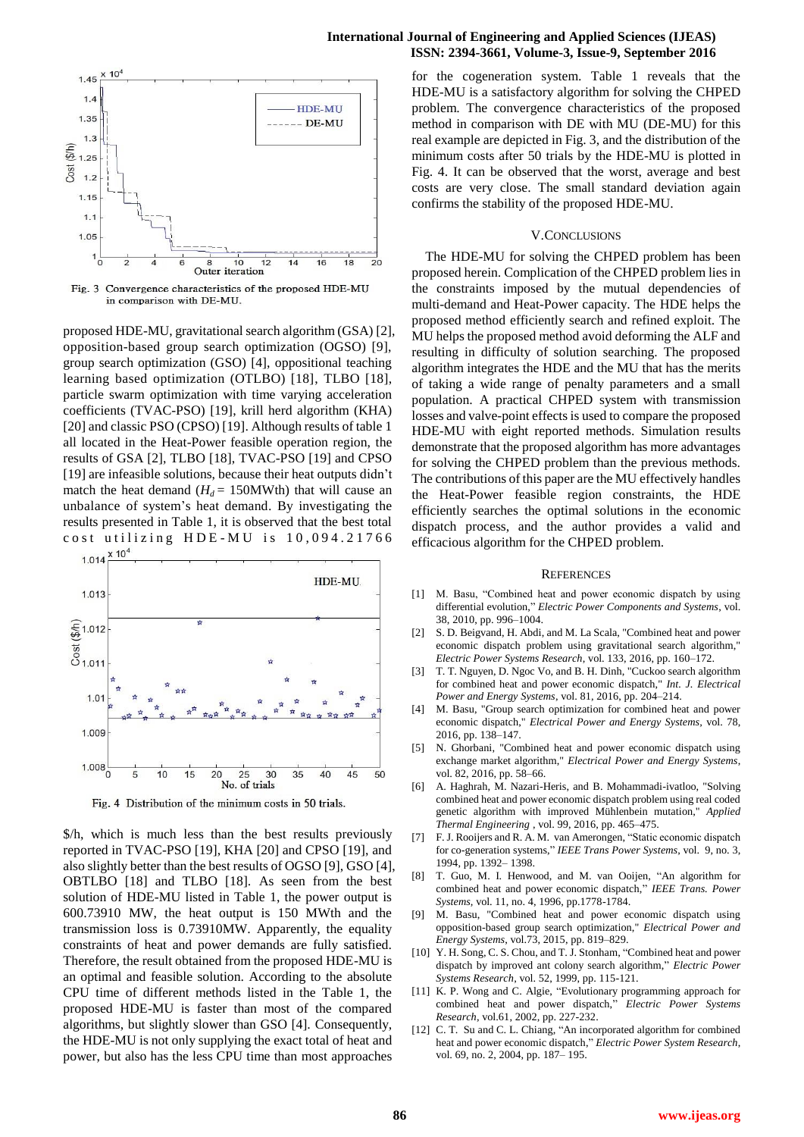

Convergence characteristics of the proposed HDE-MU Fig. 3 in comparison with DE-MU.

proposed HDE-MU, gravitational search algorithm (GSA) [2], opposition-based group search optimization (OGSO) [9], group search optimization (GSO) [4], oppositional teaching learning based optimization (OTLBO) [18], TLBO [18], particle swarm optimization with time varying acceleration coefficients (TVAC-PSO) [19], krill herd algorithm (KHA) [20] and classic PSO (CPSO) [19]. Although results of table 1 all located in the Heat-Power feasible operation region, the results of GSA [2], TLBO [18], TVAC-PSO [19] and CPSO [19] are infeasible solutions, because their heat outputs didn't match the heat demand  $(H_d = 150$ MWth) that will cause an unbalance of system's heat demand. By investigating the results presented in Table 1, it is observed that the best total cost utilizing  $HDE-MU$  is  $10,094.21766$ 



Fig. 4 Distribution of the minimum costs in 50 trials.

\$/h, which is much less than the best results previously reported in TVAC-PSO [19], KHA [20] and CPSO [19], and also slightly better than the best results of OGSO [9], GSO [4], OBTLBO [18] and TLBO [18]. As seen from the best solution of HDE-MU listed in Table 1, the power output is 600.73910 MW, the heat output is 150 MWth and the transmission loss is 0.73910MW. Apparently, the equality constraints of heat and power demands are fully satisfied. Therefore, the result obtained from the proposed HDE-MU is an optimal and feasible solution. According to the absolute CPU time of different methods listed in the Table 1, the proposed HDE-MU is faster than most of the compared algorithms, but slightly slower than GSO [4]. Consequently, the HDE-MU is not only supplying the exact total of heat and power, but also has the less CPU time than most approaches

## **International Journal of Engineering and Applied Sciences (IJEAS) ISSN: 2394-3661, Volume-3, Issue-9, September 2016**

for the cogeneration system. Table 1 reveals that the HDE-MU is a satisfactory algorithm for solving the CHPED problem. The convergence characteristics of the proposed method in comparison with DE with MU (DE-MU) for this real example are depicted in Fig. 3, and the distribution of the minimum costs after 50 trials by the HDE-MU is plotted in Fig. 4. It can be observed that the worst, average and best costs are very close. The small standard deviation again confirms the stability of the proposed HDE-MU.

#### V.CONCLUSIONS

The HDE-MU for solving the CHPED problem has been proposed herein. Complication of the CHPED problem lies in the constraints imposed by the mutual dependencies of multi-demand and Heat-Power capacity. The HDE helps the proposed method efficiently search and refined exploit. The MU helps the proposed method avoid deforming the ALF and resulting in difficulty of solution searching. The proposed algorithm integrates the HDE and the MU that has the merits of taking a wide range of penalty parameters and a small population. A practical CHPED system with transmission losses and valve-point effects is used to compare the proposed HDE-MU with eight reported methods. Simulation results demonstrate that the proposed algorithm has more advantages for solving the CHPED problem than the previous methods. The contributions of this paper are the MU effectively handles the Heat-Power feasible region constraints, the HDE efficiently searches the optimal solutions in the economic dispatch process, and the author provides a valid and efficacious algorithm for the CHPED problem.

#### **REFERENCES**

- [1] M. Basu, "Combined heat and power economic dispatch by using differential evolution," *Electric Power Components and Systems*, vol. 38, 2010, pp. 996–1004.
- [2] S. D. Beigvand, H. Abdi, and M. La Scala, "Combined heat and power economic dispatch problem using gravitational search algorithm," *Electric Power Systems Research*, vol. 133, 2016, pp. 160–172.
- [3] T. T. Nguyen, D. Ngoc Vo, and B. H. Dinh, "Cuckoo search algorithm for combined heat and power economic dispatch," *Int. J. Electrical Power and Energy Systems*, vol. 81, 2016, pp. 204–214.
- [4] M. Basu, "Group search optimization for combined heat and power economic dispatch," *Electrical Power and Energy Systems,* vol. 78, 2016, pp. 138–147.
- [5] N. Ghorbani, "Combined heat and power economic dispatch using exchange market algorithm," *Electrical Power and Energy Systems*, vol. 82, 2016, pp. 58–66.
- [6] A. Haghrah, M. Nazari-Heris, and B. Mohammadi-ivatloo, "Solving combined heat and power economic dispatch problem using real coded genetic algorithm with improved Mühlenbein mutation," *Applied Thermal Engineering* , vol. 99, 2016, pp. 465–475.
- [7] F. J. Rooijers and R. A. M. van Amerongen, "Static economic dispatch for co-generation systems," *IEEE Trans Power Systems*, vol. 9, no. 3, 1994, pp. 1392– 1398.
- [8] T. Guo, M. I. Henwood, and M. van Ooijen, "An algorithm for combined heat and power economic dispatch," *IEEE Trans. Power Systems,* vol. 11, no. 4, 1996, pp.1778-1784.
- [9] M. Basu, "Combined heat and power economic dispatch using opposition-based group search optimization," *Electrical Power and Energy Systems*, vol.73, 2015, pp. 819–829.
- [10] Y. H. Song, C. S. Chou, and T. J. Stonham, "Combined heat and power dispatch by improved ant colony search algorithm," *Electric Power Systems Research*, vol. 52, 1999, pp. 115-121.
- [11] K. P. Wong and C. Algie, "Evolutionary programming approach for combined heat and power dispatch," *Electric Power Systems Research*, vol.61, 2002, pp. 227-232.
- [12] C. T. Su and C. L. Chiang, "An incorporated algorithm for combined heat and power economic dispatch," *Electric Power System Research*, vol. 69, no. 2, 2004, pp. 187– 195.